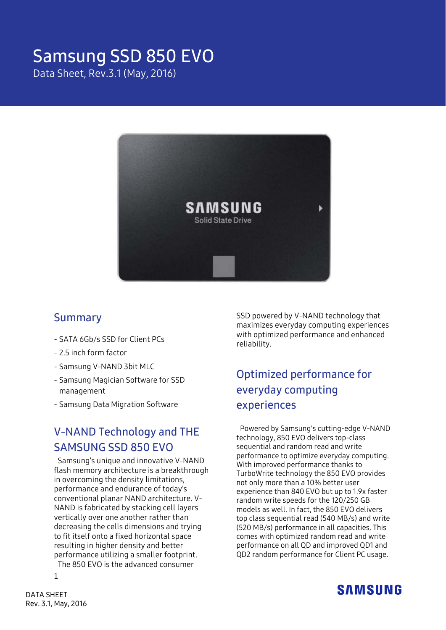# Samsung SSD 850 EVO

Data Sheet, Rev.3.1 (May, 2016)



### Summary

- SATA 6Gb/s SSD for Client PCs
- 2.5 inch form factor
- Samsung V-NAND 3bit MLC
- Samsung Magician Software for SSD management
- Samsung Data Migration Software

### V-NAND Technology and THE SAMSUNG SSD 850 EVO

Samsung's unique and innovative V-NAND flash memory architecture is a breakthrough in overcoming the density limitations, performance and endurance of today's conventional planar NAND architecture. V-NAND is fabricated by stacking cell layers vertically over one another rather than decreasing the cells dimensions and trying to fit itself onto a fixed horizontal space resulting in higher density and better performance utilizing a smaller footprint. The 850 EVO is the advanced consumer

SSD powered by V-NAND technology that maximizes everyday computing experiences with optimized performance and enhanced reliability.

# Optimized performance for everyday computing experiences

Powered by Samsung's cutting-edge V-NAND technology, 850 EVO delivers top-class sequential and random read and write performance to optimize everyday computing. With improved performance thanks to TurboWrite technology the 850 EVO provides not only more than a 10% better user experience than 840 EVO but up to 1.9x faster random write speeds for the 120/250 GB models as well. In fact, the 850 EVO delivers top class sequential read (540 MB/s) and write (520 MB/s) performance in all capacities. This comes with optimized random read and write performance on all QD and improved QD1 and QD2 random performance for Client PC usage.



1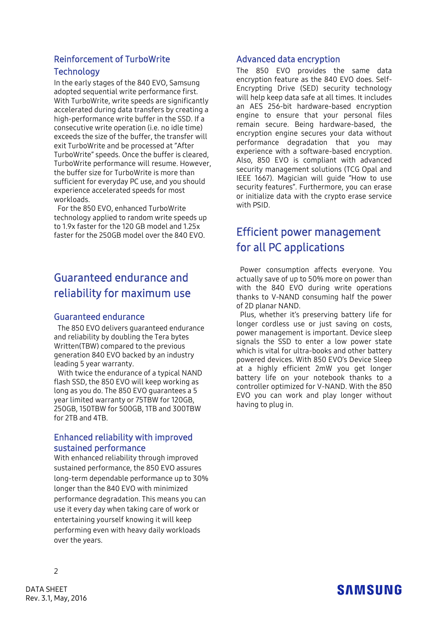### Reinforcement of TurboWrite **Technology**

In the early stages of the 840 EVO, Samsung adopted sequential write performance first. With TurboWrite, write speeds are significantly accelerated during data transfers by creating a high-performance write buffer in the SSD. If a consecutive write operation (i.e. no idle time) exceeds the size of the buffer, the transfer will exit TurboWrite and be processed at "After TurboWrite" speeds. Once the buffer is cleared, TurboWrite performance will resume. However, the buffer size for TurboWrite is more than sufficient for everyday PC use, and you should experience accelerated speeds for most workloads.

For the 850 EVO, enhanced TurboWrite technology applied to random write speeds up to 1.9x faster for the 120 GB model and 1.25x faster for the 250GB model over the 840 EVO.

# Guaranteed endurance and reliability for maximum use

#### Guaranteed endurance

The 850 EVO delivers guaranteed endurance and reliability by doubling the Tera bytes Written(TBW) compared to the previous generation 840 EVO backed by an industry leading 5 year warranty.

With twice the endurance of a typical NAND flash SSD, the 850 EVO will keep working as long as you do. The 850 EVO guarantees a 5 year limited warranty or 75TBW for 120GB, 250GB, 150TBW for 500GB, 1TB and 300TBW for 2TB and 4TB.

#### Enhanced reliability with improved sustained performance

With enhanced reliability through improved sustained performance, the 850 EVO assures long-term dependable performance up to 30% longer than the 840 EVO with minimized performance degradation. This means you can use it every day when taking care of work or entertaining yourself knowing it will keep performing even with heavy daily workloads over the years.

#### Advanced data encryption

The 850 EVO provides the same data encryption feature as the 840 EVO does. Self-Encrypting Drive (SED) security technology will help keep data safe at all times. It includes an AES 256-bit hardware-based encryption engine to ensure that your personal files remain secure. Being hardware-based, the encryption engine secures your data without performance degradation that you may experience with a software-based encryption. Also, 850 EVO is compliant with advanced security management solutions (TCG Opal and IEEE 1667). Magician will guide "How to use security features". Furthermore, you can erase or initialize data with the crypto erase service with PSID.

### Efficient power management for all PC applications

Power consumption affects everyone. You actually save of up to 50% more on power than with the 840 EVO during write operations thanks to V-NAND consuming half the power of 2D planar NAND.

Plus, whether it's preserving battery life for longer cordless use or just saving on costs, power management is important. Device sleep signals the SSD to enter a low power state which is vital for ultra-books and other battery powered devices. With 850 EVO's Device Sleep at a highly efficient 2mW you get longer battery life on your notebook thanks to a controller optimized for V-NAND. With the 850 EVO you can work and play longer without having to plug in.

# **SAMSUNG**

 $\overline{2}$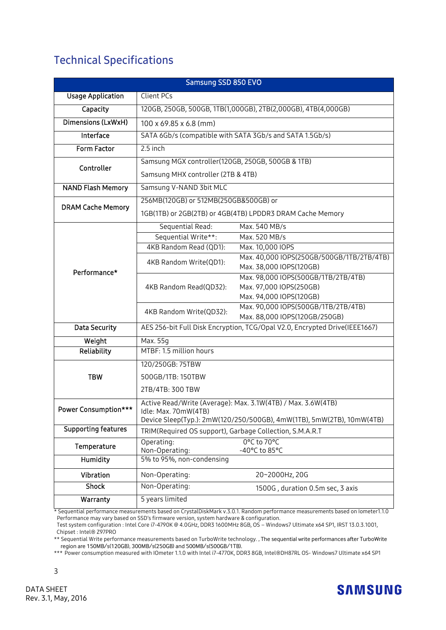### Technical Specifications

| Samsung SSD 850 EVO        |                                                                                               |                                                                      |  |  |
|----------------------------|-----------------------------------------------------------------------------------------------|----------------------------------------------------------------------|--|--|
| <b>Usage Application</b>   | Client PCs                                                                                    |                                                                      |  |  |
| Capacity                   | 120GB, 250GB, 500GB, 1TB(1,000GB), 2TB(2,000GB), 4TB(4,000GB)                                 |                                                                      |  |  |
| Dimensions (LxWxH)         | 100 x 69.85 x 6.8 (mm)                                                                        |                                                                      |  |  |
| Interface                  | SATA 6Gb/s (compatible with SATA 3Gb/s and SATA 1.5Gb/s)                                      |                                                                      |  |  |
| Form Factor                | 2.5 inch                                                                                      |                                                                      |  |  |
| Controller                 | Samsung MGX controller(120GB, 250GB, 500GB & 1TB)                                             |                                                                      |  |  |
|                            | Samsung MHX controller (2TB & 4TB)                                                            |                                                                      |  |  |
| <b>NAND Flash Memory</b>   | Samsung V-NAND 3bit MLC                                                                       |                                                                      |  |  |
| <b>DRAM Cache Memory</b>   | 256MB(120GB) or 512MB(250GB&500GB) or                                                         |                                                                      |  |  |
|                            | 1GB(1TB) or 2GB(2TB) or 4GB(4TB) LPDDR3 DRAM Cache Memory                                     |                                                                      |  |  |
|                            | Sequential Read:                                                                              | Max. 540 MB/s                                                        |  |  |
|                            | Sequential Write**:                                                                           | Max. 520 MB/s                                                        |  |  |
|                            | 4KB Random Read (QD1):                                                                        | Max. 10,000 IOPS                                                     |  |  |
|                            | 4KB Random Write(QD1):                                                                        | Max. 40,000 IOPS(250GB/500GB/1TB/2TB/4TB)                            |  |  |
| Performance*               |                                                                                               | Max. 38,000 IOPS(120GB)                                              |  |  |
|                            | 4KB Random Read(QD32):                                                                        | Max. 98,000 IOPS(500GB/1TB/2TB/4TB)                                  |  |  |
|                            |                                                                                               | Max. 97,000 IOPS(250GB)                                              |  |  |
|                            |                                                                                               | Max. 94,000 IOPS(120GB)                                              |  |  |
|                            | 4KB Random Write(QD32):                                                                       | Max. 90,000 IOPS(500GB/1TB/2TB/4TB)<br>Max. 88,000 IOPS(120GB/250GB) |  |  |
| <b>Data Security</b>       |                                                                                               |                                                                      |  |  |
|                            | AES 256-bit Full Disk Encryption, TCG/Opal V2.0, Encrypted Drive(IEEE1667)                    |                                                                      |  |  |
| Weight<br>Reliability      | Max. 55g<br>MTBF: 1.5 million hours                                                           |                                                                      |  |  |
|                            |                                                                                               |                                                                      |  |  |
| <b>TBW</b>                 | 120/250GB: 75TBW                                                                              |                                                                      |  |  |
|                            | 500GB/1TB: 150TBW                                                                             |                                                                      |  |  |
|                            | 2TB/4TB: 300 TBW                                                                              |                                                                      |  |  |
| Power Consumption***       | Active Read/Write (Average): Max. 3.1W(4TB) / Max. 3.6W(4TB)                                  |                                                                      |  |  |
|                            | Idle: Max. 70mW(4TB)<br>Device Sleep(Typ.): 2mW(120/250/500GB), 4mW(1TB), 5mW(2TB), 10mW(4TB) |                                                                      |  |  |
| <b>Supporting features</b> | TRIM(Required OS support), Garbage Collection, S.M.A.R.T                                      |                                                                      |  |  |
|                            | 0°C to 70°C<br>Operating:                                                                     |                                                                      |  |  |
| Temperature                | Non-Operating:                                                                                | -40°C to 85°C                                                        |  |  |
| Humidity                   | 5% to 95%, non-condensing                                                                     |                                                                      |  |  |
| Vibration                  | Non-Operating:                                                                                | 20~2000Hz, 20G                                                       |  |  |
| <b>Shock</b>               | Non-Operating:                                                                                | 1500G, duration 0.5m sec, 3 axis                                     |  |  |
| Warranty                   | 5 years limited                                                                               |                                                                      |  |  |

\* Sequential performance measurements based on CrystalDiskMark v.3.0.1. Random performance measurements based on Iometer1.1.0 Performance may vary based on SSD's firmware version, system hardware & configuration.

Test system configuration : Intel Core i7-4790K @ 4.0GHz, DDR3 1600MHz 8GB, OS – Windows7 Ultimate x64 SP1, IRST 13.0.3.1001, Chipset : Intel® Z97PRO

\*\* Sequential Write performance measurements based on TurboWrite technology. , The sequential write performances after TurboWrite region are 150MB/s(120GB), 300MB/s(250GB) and 500MB/s(500GB/1TB).

\*\*\* Power consumption measured with IOmeter 1.1.0 with Intel i7-4770K, DDR3 8GB, Intel®DH87RL OS- Windows7 Ultimate x64 SP1



3